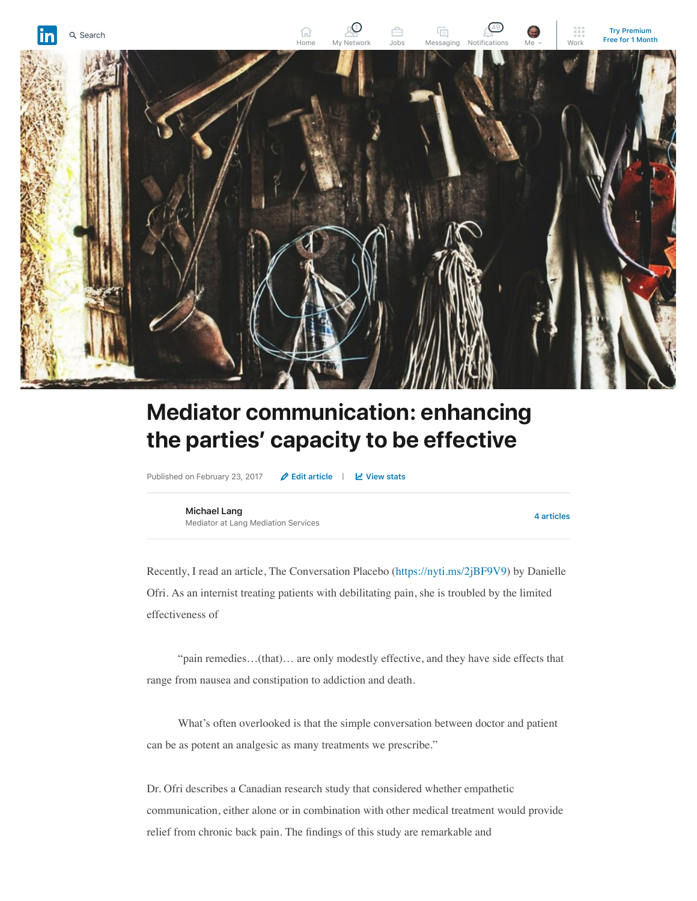

## **Mediator communication: enhancing the parties' capacity to be effective**

Published on February 23, 2017 **⁄** [Edit article](https://www.linkedin.com/post/edit/6240702352572108800) | *∐* [View stats](https://www.linkedin.com/pulse/mediator-communication-enhancing-parties-capacity-effective-lang/ca/post-analytics/urn:li:linkedInArticle:6240702352572108800/)

**[Michael Lang](https://www.linkedin.com/in/mediatorlang/)** Mediator at Lang Mediation Services

**[4 articles](https://www.linkedin.com/in/mediatorlang/detail/recent-activity/posts/)**

Recently, I read an article, The Conversation Placebo ([https://nyti.ms/2jBF9V9](http://nyti.ms/2jBF9V9)) by Danielle Ofri. As an internist treating patients with debilitating pain, she is troubled by the limited effectiveness of

 "pain remedies…(that)… are only modestly effective, and they have side effects that range from nausea and constipation to addiction and death.

 What's often overlooked is that the simple conversation between doctor and patient can be as potent an analgesic as many treatments we prescribe."

Dr. Ofri describes a Canadian research study that considered whether empathetic communication, either alone or in combination with other medical treatment would provide relief from chronic back pain. The findings of this study are remarkable and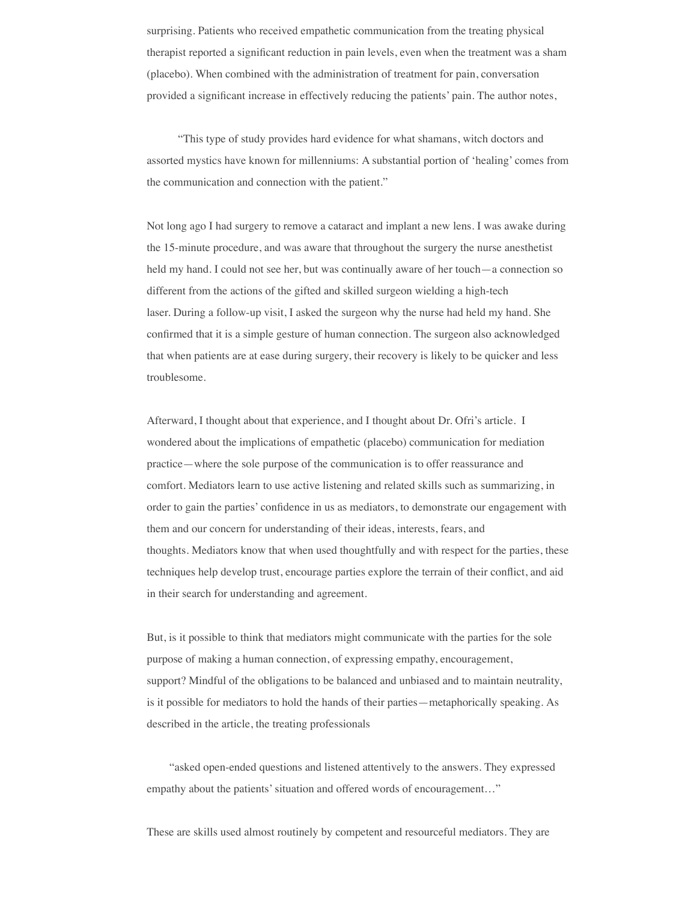surprising. Patients who received empathetic communication from the treating physical therapist reported a significant reduction in pain levels, even when the treatment was a sham (placebo). When combined with the administration of treatment for pain, conversation provided a significant increase in effectively reducing the patients' pain. The author notes,

 "This type of study provides hard evidence for what shamans, witch doctors and assorted mystics have known for millenniums: A substantial portion of 'healing' comes from the communication and connection with the patient."

Not long ago I had surgery to remove a cataract and implant a new lens. I was awake during the 15-minute procedure, and was aware that throughout the surgery the nurse anesthetist held my hand. I could not see her, but was continually aware of her touch—a connection so different from the actions of the gifted and skilled surgeon wielding a high-tech laser. During a follow-up visit, I asked the surgeon why the nurse had held my hand. She confirmed that it is a simple gesture of human connection. The surgeon also acknowledged that when patients are at ease during surgery, their recovery is likely to be quicker and less troublesome.

Afterward, I thought about that experience, and I thought about Dr. Ofri's article. I wondered about the implications of empathetic (placebo) communication for mediation practice—where the sole purpose of the communication is to offer reassurance and comfort. Mediators learn to use active listening and related skills such as summarizing, in order to gain the parties' confidence in us as mediators, to demonstrate our engagement with them and our concern for understanding of their ideas, interests, fears, and thoughts. Mediators know that when used thoughtfully and with respect for the parties, these techniques help develop trust, encourage parties explore the terrain of their conflict, and aid in their search for understanding and agreement.

But, is it possible to think that mediators might communicate with the parties for the sole purpose of making a human connection, of expressing empathy, encouragement, support? Mindful of the obligations to be balanced and unbiased and to maintain neutrality, is it possible for mediators to hold the hands of their parties—metaphorically speaking. As described in the article, the treating professionals

 "asked open-ended questions and listened attentively to the answers. They expressed empathy about the patients' situation and offered words of encouragement…"

These are skills used almost routinely by competent and resourceful mediators. They are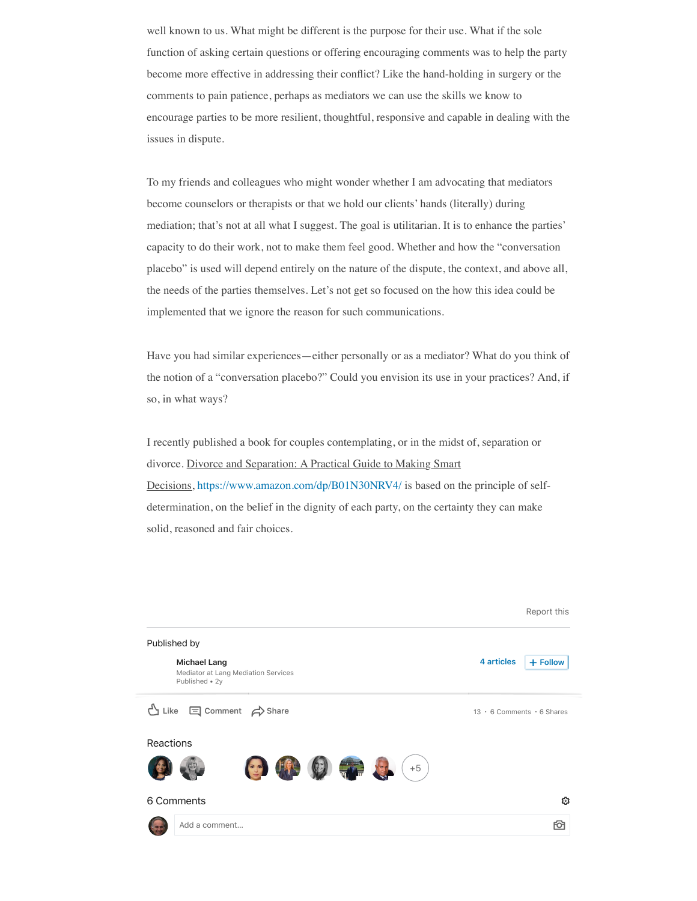well known to us. What might be different is the purpose for their use. What if the sole function of asking certain questions or offering encouraging comments was to help the party become more effective in addressing their conflict? Like the hand-holding in surgery or the comments to pain patience, perhaps as mediators we can use the skills we know to encourage parties to be more resilient, thoughtful, responsive and capable in dealing with the issues in dispute.

To my friends and colleagues who might wonder whether I am advocating that mediators become counselors or therapists or that we hold our clients' hands (literally) during mediation; that's not at all what I suggest. The goal is utilitarian. It is to enhance the parties' capacity to do their work, not to make them feel good. Whether and how the "conversation placebo" is used will depend entirely on the nature of the dispute, the context, and above all, the needs of the parties themselves. Let's not get so focused on the how this idea could be implemented that we ignore the reason for such communications.

Have you had similar experiences—either personally or as a mediator? What do you think of the notion of a "conversation placebo?" Could you envision its use in your practices? And, if so, in what ways?

I recently published a book for couples contemplating, or in the midst of, separation or divorce. Divorce and Separation: A Practical Guide to Making Smart Decisions, [https://www.amazon.com/dp/B01N30NRV4/](http://www.amazon.com/dp/B01N30NRV4/) is based on the principle of selfdetermination, on the belief in the dignity of each party, on the certainty they can make solid, reasoned and fair choices.